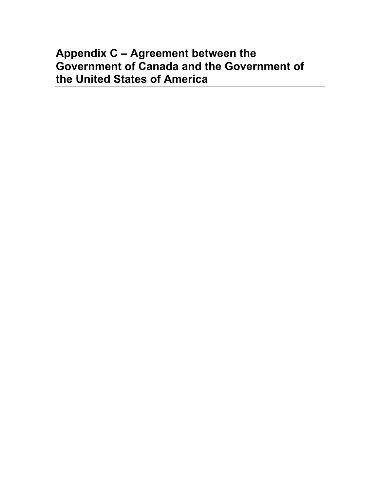# **Appendix C – Agreement between the Government of Canada and the Government of the United States of America**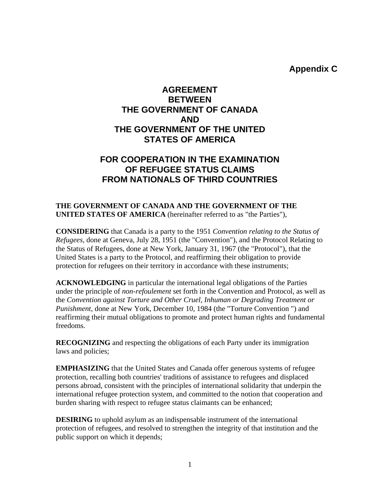**Appendix C** 

## **AGREEMENT BETWEEN THE GOVERNMENT OF CANADA AND THE GOVERNMENT OF THE UNITED STATES OF AMERICA**

### **FOR COOPERATION IN THE EXAMINATION OF REFUGEE STATUS CLAIMS FROM NATIONALS OF THIRD COUNTRIES**

#### **THE GOVERNMENT OF CANADA AND THE GOVERNMENT OF THE UNITED STATES OF AMERICA** (hereinafter referred to as "the Parties"),

**CONSIDERING** that Canada is a party to the 1951 *Convention relating to the Status of Refugees,* done at Geneva, July 28, 1951 (the "Convention"), and the Protocol Relating to the Status of Refugees, done at New York, January 31, 1967 (the "Protocol"), that the United States is a party to the Protocol, and reaffirming their obligation to provide protection for refugees on their territory in accordance with these instruments;

**ACKNOWLEDGING** in particular the international legal obligations of the Parties under the principle of *non-refoulement* set forth in the Convention and Protocol, as well as the *Convention against Torture and Other Cruel, Inhuman or Degrading Treatment or Punishment*, done at New York, December 10, 1984 (the "Torture Convention ") and reaffirming their mutual obligations to promote and protect human rights and fundamental freedoms.

**RECOGNIZING** and respecting the obligations of each Party under its immigration laws and policies;

**EMPHASIZING** that the United States and Canada offer generous systems of refugee protection, recalling both countries' traditions of assistance to refugees and displaced persons abroad, consistent with the principles of international solidarity that underpin the international refugee protection system, and committed to the notion that cooperation and burden sharing with respect to refugee status claimants can be enhanced;

**DESIRING** to uphold asylum as an indispensable instrument of the international protection of refugees, and resolved to strengthen the integrity of that institution and the public support on which it depends;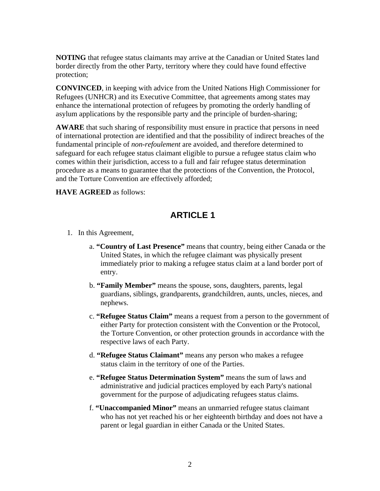**NOTING** that refugee status claimants may arrive at the Canadian or United States land border directly from the other Party, territory where they could have found effective protection;

**CONVINCED**, in keeping with advice from the United Nations High Commissioner for Refugees (UNHCR) and its Executive Committee, that agreements among states may enhance the international protection of refugees by promoting the orderly handling of asylum applications by the responsible party and the principle of burden-sharing;

**AWARE** that such sharing of responsibility must ensure in practice that persons in need of international protection are identified and that the possibility of indirect breaches of the fundamental principle of *non-refoulement* are avoided, and therefore determined to safeguard for each refugee status claimant eligible to pursue a refugee status claim who comes within their jurisdiction, access to a full and fair refugee status determination procedure as a means to guarantee that the protections of the Convention, the Protocol, and the Torture Convention are effectively afforded;

**HAVE AGREED** as follows:

# **ARTICLE 1**

- 1. In this Agreement,
	- a. **"Country of Last Presence"** means that country, being either Canada or the United States, in which the refugee claimant was physically present immediately prior to making a refugee status claim at a land border port of entry.
	- b. **"Family Member"** means the spouse, sons, daughters, parents, legal guardians, siblings, grandparents, grandchildren, aunts, uncles, nieces, and nephews.
	- c. **"Refugee Status Claim"** means a request from a person to the government of either Party for protection consistent with the Convention or the Protocol, the Torture Convention, or other protection grounds in accordance with the respective laws of each Party.
	- d. **"Refugee Status Claimant"** means any person who makes a refugee status claim in the territory of one of the Parties.
	- e. **"Refugee Status Determination System"** means the sum of laws and administrative and judicial practices employed by each Party's national government for the purpose of adjudicating refugees status claims.
	- f. **"Unaccompanied Minor"** means an unmarried refugee status claimant who has not yet reached his or her eighteenth birthday and does not have a parent or legal guardian in either Canada or the United States.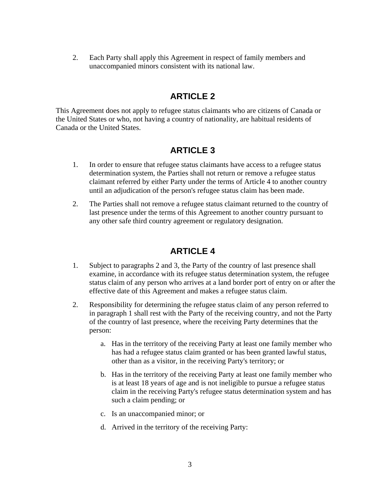2. Each Party shall apply this Agreement in respect of family members and unaccompanied minors consistent with its national law.

#### **ARTICLE 2**

This Agreement does not apply to refugee status claimants who are citizens of Canada or the United States or who, not having a country of nationality, are habitual residents of Canada or the United States.

### **ARTICLE 3**

- 1. In order to ensure that refugee status claimants have access to a refugee status determination system, the Parties shall not return or remove a refugee status claimant referred by either Party under the terms of Article 4 to another country until an adjudication of the person's refugee status claim has been made.
- 2. The Parties shall not remove a refugee status claimant returned to the country of last presence under the terms of this Agreement to another country pursuant to any other safe third country agreement or regulatory designation.

# **ARTICLE 4**

- 1. Subject to paragraphs 2 and 3, the Party of the country of last presence shall examine, in accordance with its refugee status determination system, the refugee status claim of any person who arrives at a land border port of entry on or after the effective date of this Agreement and makes a refugee status claim.
- 2. Responsibility for determining the refugee status claim of any person referred to in paragraph 1 shall rest with the Party of the receiving country, and not the Party of the country of last presence, where the receiving Party determines that the person:
	- a. Has in the territory of the receiving Party at least one family member who has had a refugee status claim granted or has been granted lawful status, other than as a visitor, in the receiving Party's territory; or
	- b. Has in the territory of the receiving Party at least one family member who is at least 18 years of age and is not ineligible to pursue a refugee status claim in the receiving Party's refugee status determination system and has such a claim pending; or
	- c. Is an unaccompanied minor; or
	- d. Arrived in the territory of the receiving Party: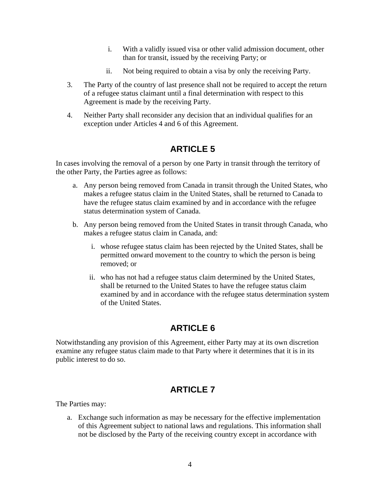- i. With a validly issued visa or other valid admission document, other than for transit, issued by the receiving Party; or
- ii. Not being required to obtain a visa by only the receiving Party.
- 3. The Party of the country of last presence shall not be required to accept the return of a refugee status claimant until a final determination with respect to this Agreement is made by the receiving Party.
- 4. Neither Party shall reconsider any decision that an individual qualifies for an exception under Articles 4 and 6 of this Agreement.

# **ARTICLE 5**

In cases involving the removal of a person by one Party in transit through the territory of the other Party, the Parties agree as follows:

- a. Any person being removed from Canada in transit through the United States, who makes a refugee status claim in the United States, shall be returned to Canada to have the refugee status claim examined by and in accordance with the refugee status determination system of Canada.
- b. Any person being removed from the United States in transit through Canada, who makes a refugee status claim in Canada, and:
	- i. whose refugee status claim has been rejected by the United States, shall be permitted onward movement to the country to which the person is being removed; or
	- ii. who has not had a refugee status claim determined by the United States, shall be returned to the United States to have the refugee status claim examined by and in accordance with the refugee status determination system of the United States.

# **ARTICLE 6**

Notwithstanding any provision of this Agreement, either Party may at its own discretion examine any refugee status claim made to that Party where it determines that it is in its public interest to do so.

# **ARTICLE 7**

The Parties may:

a. Exchange such information as may be necessary for the effective implementation of this Agreement subject to national laws and regulations. This information shall not be disclosed by the Party of the receiving country except in accordance with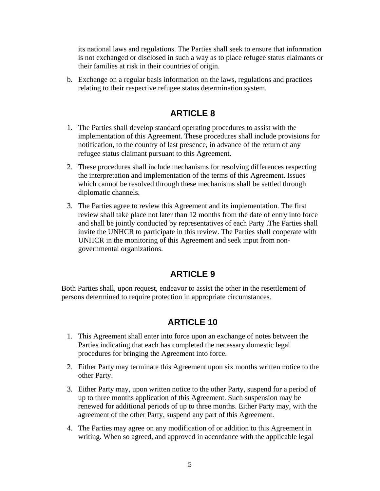its national laws and regulations. The Parties shall seek to ensure that information is not exchanged or disclosed in such a way as to place refugee status claimants or their families at risk in their countries of origin.

b. Exchange on a regular basis information on the laws, regulations and practices relating to their respective refugee status determination system.

## **ARTICLE 8**

- 1. The Parties shall develop standard operating procedures to assist with the implementation of this Agreement. These procedures shall include provisions for notification, to the country of last presence, in advance of the return of any refugee status claimant pursuant to this Agreement.
- 2. These procedures shall include mechanisms for resolving differences respecting the interpretation and implementation of the terms of this Agreement. Issues which cannot be resolved through these mechanisms shall be settled through diplomatic channels.
- 3. The Parties agree to review this Agreement and its implementation. The first review shall take place not later than 12 months from the date of entry into force and shall be jointly conducted by representatives of each Party .The Parties shall invite the UNHCR to participate in this review. The Parties shall cooperate with UNHCR in the monitoring of this Agreement and seek input from nongovernmental organizations.

### **ARTICLE 9**

Both Parties shall, upon request, endeavor to assist the other in the resettlement of persons determined to require protection in appropriate circumstances.

# **ARTICLE 10**

- 1. This Agreement shall enter into force upon an exchange of notes between the Parties indicating that each has completed the necessary domestic legal procedures for bringing the Agreement into force.
- 2. Either Party may terminate this Agreement upon six months written notice to the other Party.
- 3. Either Party may, upon written notice to the other Party, suspend for a period of up to three months application of this Agreement. Such suspension may be renewed for additional periods of up to three months. Either Party may, with the agreement of the other Party, suspend any part of this Agreement.
- 4. The Parties may agree on any modification of or addition to this Agreement in writing. When so agreed, and approved in accordance with the applicable legal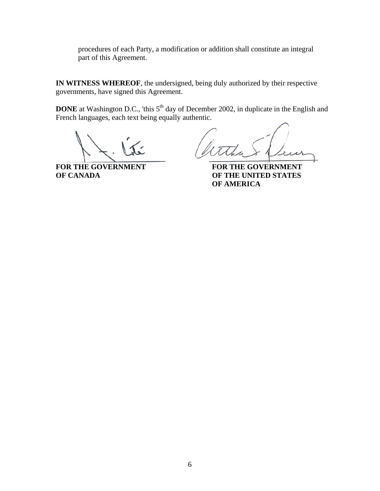procedures of each Party, a modification or addition shall constitute an integral part of this Agreement.

**IN WITNESS WHEREOF**, the undersigned, being duly authorized by their respective governments, have signed this Agreement.

**DONE** at Washington D.C., 'this 5<sup>th</sup> day of December 2002, in duplicate in the English and French languages, each text being equally authentic.

FOR THE GOVERNMENT<br>OF CANADA **FOR THE UNITED STATES** 

**OF THE UNITED STATES OF AMERICA**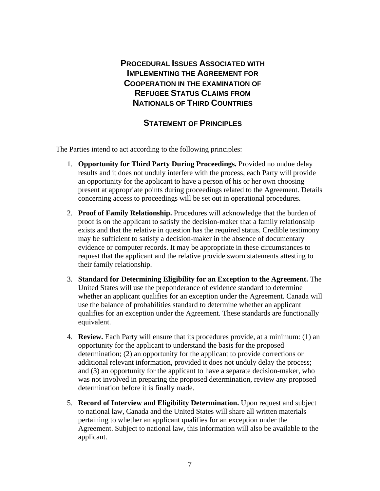**PROCEDURAL ISSUES ASSOCIATED WITH IMPLEMENTING THE AGREEMENT FOR COOPERATION IN THE EXAMINATION OF REFUGEE STATUS CLAIMS FROM NATIONALS OF THIRD COUNTRIES**

#### **STATEMENT OF PRINCIPLES**

The Parties intend to act according to the following principles:

- 1. **Opportunity for Third Party During Proceedings.** Provided no undue delay results and it does not unduly interfere with the process, each Party will provide an opportunity for the applicant to have a person of his or her own choosing present at appropriate points during proceedings related to the Agreement. Details concerning access to proceedings will be set out in operational procedures.
- 2. **Proof of Family Relationship.** Procedures will acknowledge that the burden of proof is on the applicant to satisfy the decision-maker that a family relationship exists and that the relative in question has the required status. Credible testimony may be sufficient to satisfy a decision-maker in the absence of documentary evidence or computer records. It may be appropriate in these circumstances to request that the applicant and the relative provide sworn statements attesting to their family relationship.
- 3. **Standard for Determining Eligibility for an Exception to the Agreement.** The United States will use the preponderance of evidence standard to determine whether an applicant qualifies for an exception under the Agreement. Canada will use the balance of probabilities standard to determine whether an applicant qualifies for an exception under the Agreement. These standards are functionally equivalent.
- 4. **Review.** Each Party will ensure that its procedures provide, at a minimum: (1) an opportunity for the applicant to understand the basis for the proposed determination; (2) an opportunity for the applicant to provide corrections or additional relevant information, provided it does not unduly delay the process; and (3) an opportunity for the applicant to have a separate decision-maker, who was not involved in preparing the proposed determination, review any proposed determination before it is finally made.
- 5. **Record of Interview and Eligibility Determination.** Upon request and subject to national law, Canada and the United States will share all written materials pertaining to whether an applicant qualifies for an exception under the Agreement. Subject to national law, this information will also be available to the applicant.